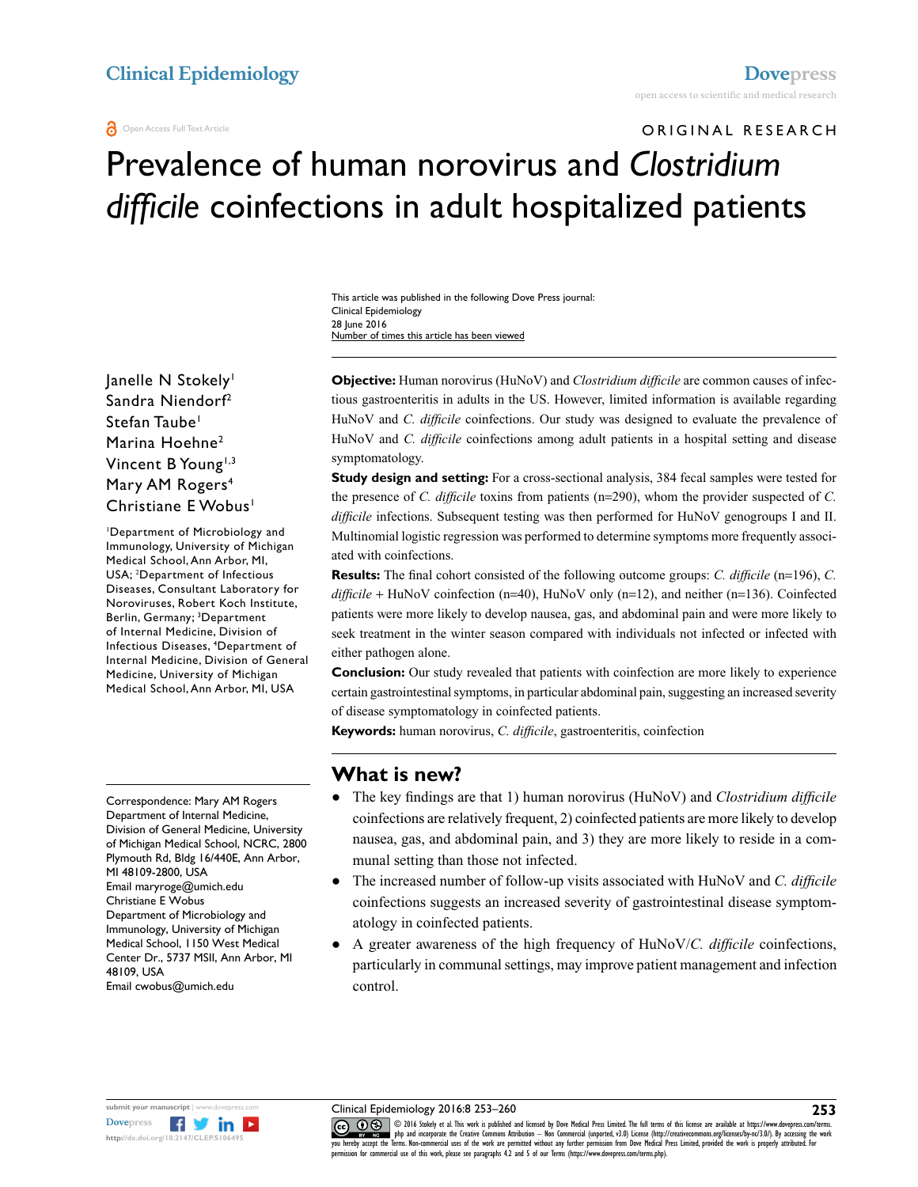# ORIGINAL RESEARCH Prevalence of human norovirus and *Clostridium difficile* coinfections in adult hospitalized patients

This article was published in the following Dove Press journal: Clinical Epidemiology 28 June 2016 Number of times this article has been viewed

lanelle N Stokely<sup>1</sup> Sandra Niendorf2 Stefan Taube<sup>1</sup> Marina Hoehne<sup>2</sup> Vincent B Young<sup>1,3</sup> Mary AM Rogers<sup>4</sup> Christiane E Wobus<sup>1</sup>

1 Department of Microbiology and Immunology, University of Michigan Medical School, Ann Arbor, MI, USA; <sup>2</sup> Department of Infectious Diseases, Consultant Laboratory for Noroviruses, Robert Koch Institute, Berlin, Germany; <sup>3</sup>Department of Internal Medicine, Division of Infectious Diseases, 4 Department of Internal Medicine, Division of General Medicine, University of Michigan Medical School, Ann Arbor, MI, USA

Correspondence: Mary AM Rogers Department of Internal Medicine, Division of General Medicine, University of Michigan Medical School, NCRC, 2800 Plymouth Rd, Bldg 16/440E, Ann Arbor, MI 48109-2800, USA Email [maryroge@umich.edu](mailto:maryroge@umich.edu) Christiane E Wobus Department of Microbiology and Immunology, University of Michigan Medical School, 1150 West Medical Center Dr., 5737 MSII, Ann Arbor, MI 48109, USA Email cwobus@umich.edu

**Objective:** Human norovirus (HuNoV) and *Clostridium difficile* are common causes of infectious gastroenteritis in adults in the US. However, limited information is available regarding HuNoV and *C. difficile* coinfections. Our study was designed to evaluate the prevalence of HuNoV and *C. difficile* coinfections among adult patients in a hospital setting and disease symptomatology.

**Study design and setting:** For a cross-sectional analysis, 384 fecal samples were tested for the presence of *C. difficile* toxins from patients (n=290), whom the provider suspected of *C. difficile* infections. Subsequent testing was then performed for HuNoV genogroups I and II. Multinomial logistic regression was performed to determine symptoms more frequently associated with coinfections.

**Results:** The final cohort consisted of the following outcome groups: *C. difficile* (n=196), *C. difficile* + HuNoV coinfection (n=40), HuNoV only (n=12), and neither (n=136). Coinfected patients were more likely to develop nausea, gas, and abdominal pain and were more likely to seek treatment in the winter season compared with individuals not infected or infected with either pathogen alone.

**Conclusion:** Our study revealed that patients with coinfection are more likely to experience certain gastrointestinal symptoms, in particular abdominal pain, suggesting an increased severity of disease symptomatology in coinfected patients.

**Keywords:** human norovirus, *C. difficile*, gastroenteritis, coinfection

#### **What is new?**

- ● The key findings are that 1) human norovirus (HuNoV) and *Clostridium difficile* coinfections are relatively frequent, 2) coinfected patients are more likely to develop nausea, gas, and abdominal pain, and 3) they are more likely to reside in a communal setting than those not infected.
- **•** The increased number of follow-up visits associated with HuNoV and *C. difficile* coinfections suggests an increased severity of gastrointestinal disease symptomatology in coinfected patients.
- A greater awareness of the high frequency of HuNoV/*C. difficile* coinfections, particularly in communal settings, may improve patient management and infection control.



Clinical Epidemiology 2016:8 253–260

CODI6 Stokely et al. This work is published and licensed by Dove Medical Press Limited. The full terms of this license are available at https://www.dovepress.com/terms.<br> [you hereby accept the T](http://www.dovepress.com/permissions.php)erms. Non-commercial uses of permission for commercial use of this work, please see paragraphs 4.2 and 5 of our Terms (https://www.dovepress.com/terms.php).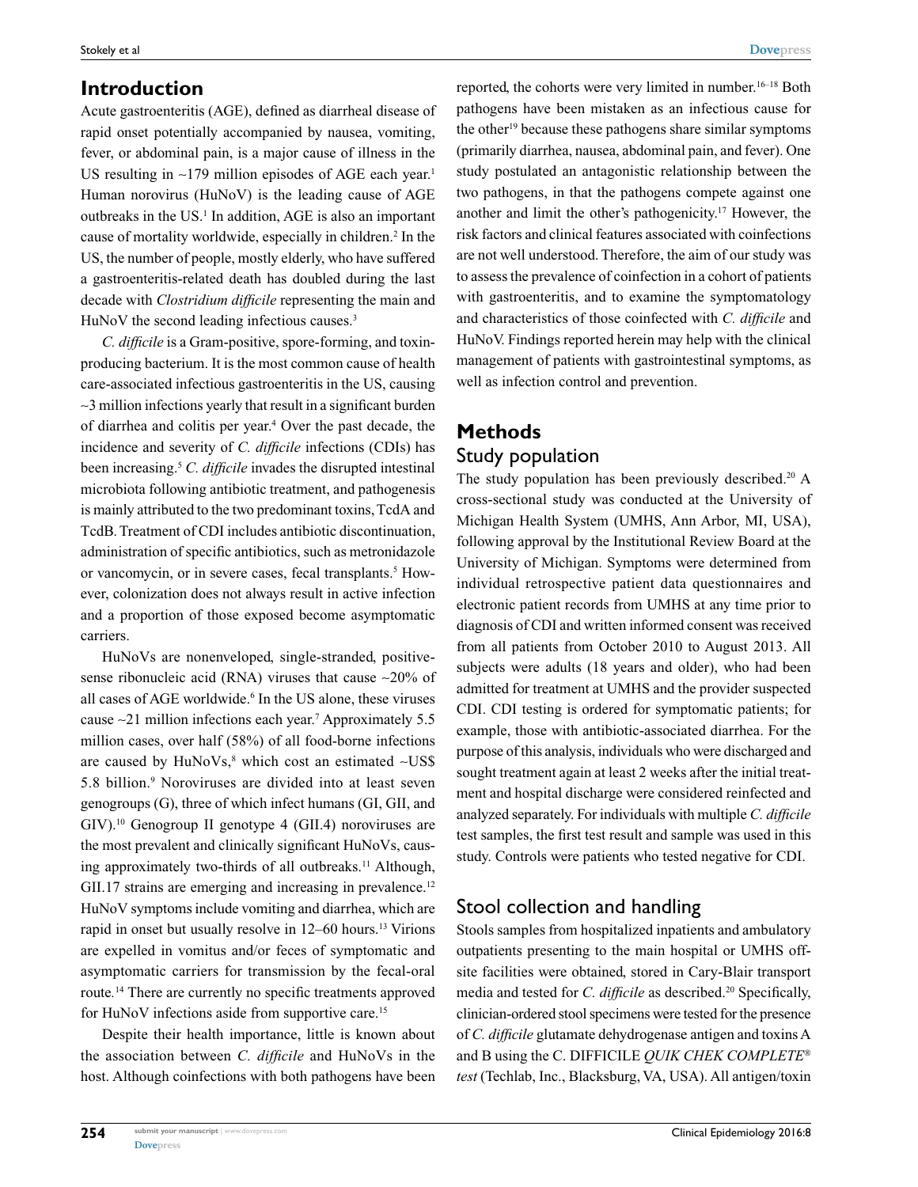## **Introduction**

Acute gastroenteritis (AGE), defined as diarrheal disease of rapid onset potentially accompanied by nausea, vomiting, fever, or abdominal pain, is a major cause of illness in the US resulting in  $\sim$ 179 million episodes of AGE each year.<sup>1</sup> Human norovirus (HuNoV) is the leading cause of AGE outbreaks in the US.<sup>1</sup> In addition, AGE is also an important cause of mortality worldwide, especially in children.<sup>2</sup> In the US, the number of people, mostly elderly, who have suffered a gastroenteritis-related death has doubled during the last decade with *Clostridium difficile* representing the main and HuNoV the second leading infectious causes.<sup>3</sup>

*C. difficile* is a Gram-positive, spore-forming, and toxinproducing bacterium. It is the most common cause of health care-associated infectious gastroenteritis in the US, causing ~3 million infections yearly that result in a significant burden of diarrhea and colitis per year.<sup>4</sup> Over the past decade, the incidence and severity of *C. difficile* infections (CDIs) has been increasing.5 *C. difficile* invades the disrupted intestinal microbiota following antibiotic treatment, and pathogenesis is mainly attributed to the two predominant toxins, TcdA and TcdB. Treatment of CDI includes antibiotic discontinuation, administration of specific antibiotics, such as metronidazole or vancomycin, or in severe cases, fecal transplants.<sup>5</sup> However, colonization does not always result in active infection and a proportion of those exposed become asymptomatic carriers.

HuNoVs are nonenveloped, single-stranded, positivesense ribonucleic acid (RNA) viruses that cause  $\sim$ 20% of all cases of AGE worldwide.<sup>6</sup> In the US alone, these viruses cause ~21 million infections each year.7 Approximately 5.5 million cases, over half (58%) of all food-borne infections are caused by  $HuNoVs<sub>s</sub><sup>8</sup>$  which cost an estimated ~US\$ 5.8 billion.9 Noroviruses are divided into at least seven genogroups (G), three of which infect humans (GI, GII, and GIV).10 Genogroup II genotype 4 (GII.4) noroviruses are the most prevalent and clinically significant HuNoVs, causing approximately two-thirds of all outbreaks.<sup>11</sup> Although, GII.17 strains are emerging and increasing in prevalence.<sup>12</sup> HuNoV symptoms include vomiting and diarrhea, which are rapid in onset but usually resolve in 12–60 hours.<sup>13</sup> Virions are expelled in vomitus and/or feces of symptomatic and asymptomatic carriers for transmission by the fecal-oral route*.* <sup>14</sup> There are currently no specific treatments approved for HuNoV infections aside from supportive care.<sup>15</sup>

Despite their health importance, little is known about the association between *C. difficile* and HuNoVs in the host. Although coinfections with both pathogens have been reported, the cohorts were very limited in number.16–18 Both pathogens have been mistaken as an infectious cause for the other19 because these pathogens share similar symptoms (primarily diarrhea, nausea, abdominal pain, and fever). One study postulated an antagonistic relationship between the two pathogens, in that the pathogens compete against one another and limit the other's pathogenicity.17 However, the risk factors and clinical features associated with coinfections are not well understood. Therefore, the aim of our study was to assess the prevalence of coinfection in a cohort of patients with gastroenteritis, and to examine the symptomatology and characteristics of those coinfected with *C. difficile* and HuNoV. Findings reported herein may help with the clinical management of patients with gastrointestinal symptoms, as well as infection control and prevention.

## **Methods** Study population

The study population has been previously described.<sup>20</sup> A cross-sectional study was conducted at the University of Michigan Health System (UMHS, Ann Arbor, MI, USA), following approval by the Institutional Review Board at the University of Michigan. Symptoms were determined from individual retrospective patient data questionnaires and electronic patient records from UMHS at any time prior to diagnosis of CDI and written informed consent was received from all patients from October 2010 to August 2013. All subjects were adults (18 years and older), who had been admitted for treatment at UMHS and the provider suspected CDI. CDI testing is ordered for symptomatic patients; for example, those with antibiotic-associated diarrhea. For the purpose of this analysis, individuals who were discharged and sought treatment again at least 2 weeks after the initial treatment and hospital discharge were considered reinfected and analyzed separately. For individuals with multiple *C. difficile* test samples, the first test result and sample was used in this study. Controls were patients who tested negative for CDI.

## Stool collection and handling

Stools samples from hospitalized inpatients and ambulatory outpatients presenting to the main hospital or UMHS offsite facilities were obtained, stored in Cary-Blair transport media and tested for *C. difficile* as described.<sup>20</sup> Specifically, clinician-ordered stool specimens were tested for the presence of *C. difficile* glutamate dehydrogenase antigen and toxins A and B using the C. DIFFICILE *QUIK CHEK COMPLETE test* (Techlab, Inc., Blacksburg, VA, USA). All antigen/toxin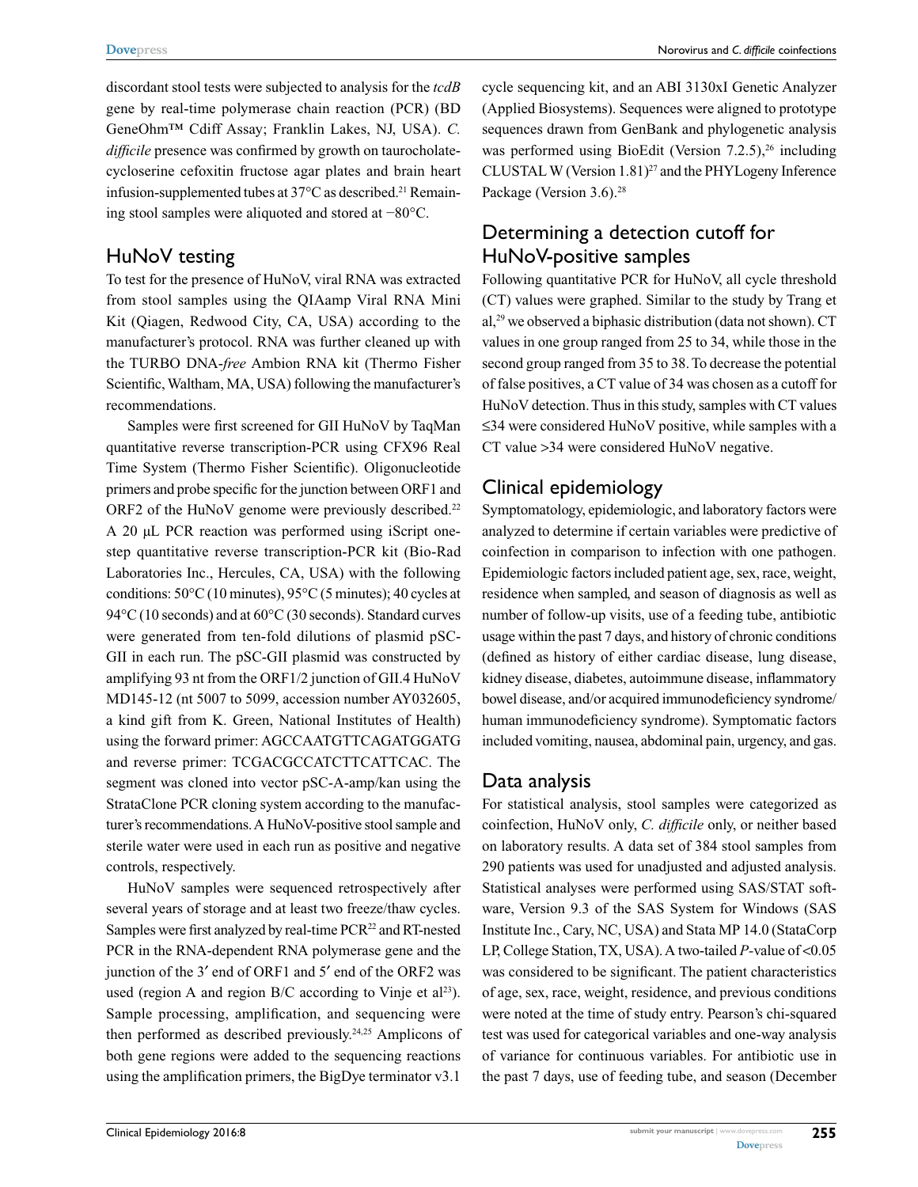Norovirus and *C. difficile* coinfections

discordant stool tests were subjected to analysis for the *tcdB* gene by real-time polymerase chain reaction (PCR) (BD GeneOhm™ Cdiff Assay; Franklin Lakes, NJ, USA). *C. difficile* presence was confirmed by growth on taurocholatecycloserine cefoxitin fructose agar plates and brain heart infusion-supplemented tubes at  $37^{\circ}$ C as described.<sup>21</sup> Remaining stool samples were aliquoted and stored at −80°C.

#### HuNoV testing

To test for the presence of HuNoV, viral RNA was extracted from stool samples using the QIAamp Viral RNA Mini Kit (Qiagen, Redwood City, CA, USA) according to the manufacturer's protocol. RNA was further cleaned up with the TURBO DNA-*free* Ambion RNA kit (Thermo Fisher Scientific, Waltham, MA, USA) following the manufacturer's recommendations.

Samples were first screened for GII HuNoV by TaqMan quantitative reverse transcription-PCR using CFX96 Real Time System (Thermo Fisher Scientific). Oligonucleotide primers and probe specific for the junction between ORF1 and ORF2 of the HuNoV genome were previously described.<sup>22</sup> A 20 µL PCR reaction was performed using iScript onestep quantitative reverse transcription-PCR kit (Bio-Rad Laboratories Inc., Hercules, CA, USA) with the following conditions: 50°C (10 minutes), 95°C (5 minutes); 40 cycles at 94°C (10 seconds) and at 60°C (30 seconds). Standard curves were generated from ten-fold dilutions of plasmid pSC-GII in each run. The pSC-GII plasmid was constructed by amplifying 93 nt from the ORF1/2 junction of GII.4 HuNoV MD145-12 (nt 5007 to 5099, accession number AY032605, a kind gift from K. Green, National Institutes of Health) using the forward primer: AGCCAATGTTCAGATGGATG and reverse primer: TCGACGCCATCTTCATTCAC. The segment was cloned into vector pSC-A-amp/kan using the StrataClone PCR cloning system according to the manufacturer's recommendations. A HuNoV-positive stool sample and sterile water were used in each run as positive and negative controls, respectively.

HuNoV samples were sequenced retrospectively after several years of storage and at least two freeze/thaw cycles. Samples were first analyzed by real-time PCR<sup>22</sup> and RT-nested PCR in the RNA-dependent RNA polymerase gene and the junction of the 3′ end of ORF1 and 5′ end of the ORF2 was used (region A and region  $B/C$  according to Vinje et al<sup>23</sup>). Sample processing, amplification, and sequencing were then performed as described previously.24,25 Amplicons of both gene regions were added to the sequencing reactions using the amplification primers, the BigDye terminator v3.1

cycle sequencing kit, and an ABI 3130xI Genetic Analyzer (Applied Biosystems). Sequences were aligned to prototype sequences drawn from GenBank and phylogenetic analysis was performed using BioEdit (Version  $7.2.5$ ),<sup>26</sup> including CLUSTAL W (Version 1.81)<sup>27</sup> and the PHYLogeny Inference Package (Version 3.6).<sup>28</sup>

#### Determining a detection cutoff for HuNoV-positive samples

Following quantitative PCR for HuNoV, all cycle threshold (CT) values were graphed. Similar to the study by Trang et al,29 we observed a biphasic distribution (data not shown). CT values in one group ranged from 25 to 34, while those in the second group ranged from 35 to 38. To decrease the potential of false positives, a CT value of 34 was chosen as a cutoff for HuNoV detection. Thus in this study, samples with CT values ≤34 were considered HuNoV positive, while samples with a CT value >34 were considered HuNoV negative.

#### Clinical epidemiology

Symptomatology, epidemiologic, and laboratory factors were analyzed to determine if certain variables were predictive of coinfection in comparison to infection with one pathogen. Epidemiologic factors included patient age, sex, race, weight, residence when sampled, and season of diagnosis as well as number of follow-up visits, use of a feeding tube, antibiotic usage within the past 7 days, and history of chronic conditions (defined as history of either cardiac disease, lung disease, kidney disease, diabetes, autoimmune disease, inflammatory bowel disease, and/or acquired immunodeficiency syndrome/ human immunodeficiency syndrome). Symptomatic factors included vomiting, nausea, abdominal pain, urgency, and gas.

#### Data analysis

For statistical analysis, stool samples were categorized as coinfection, HuNoV only, *C. difficile* only, or neither based on laboratory results. A data set of 384 stool samples from 290 patients was used for unadjusted and adjusted analysis. Statistical analyses were performed using SAS/STAT software, Version 9.3 of the SAS System for Windows (SAS Institute Inc., Cary, NC, USA) and Stata MP 14.0 (StataCorp LP, College Station, TX, USA). A two-tailed *P-*value of <0.05 was considered to be significant. The patient characteristics of age, sex, race, weight, residence, and previous conditions were noted at the time of study entry. Pearson's chi-squared test was used for categorical variables and one-way analysis of variance for continuous variables. For antibiotic use in the past 7 days, use of feeding tube, and season (December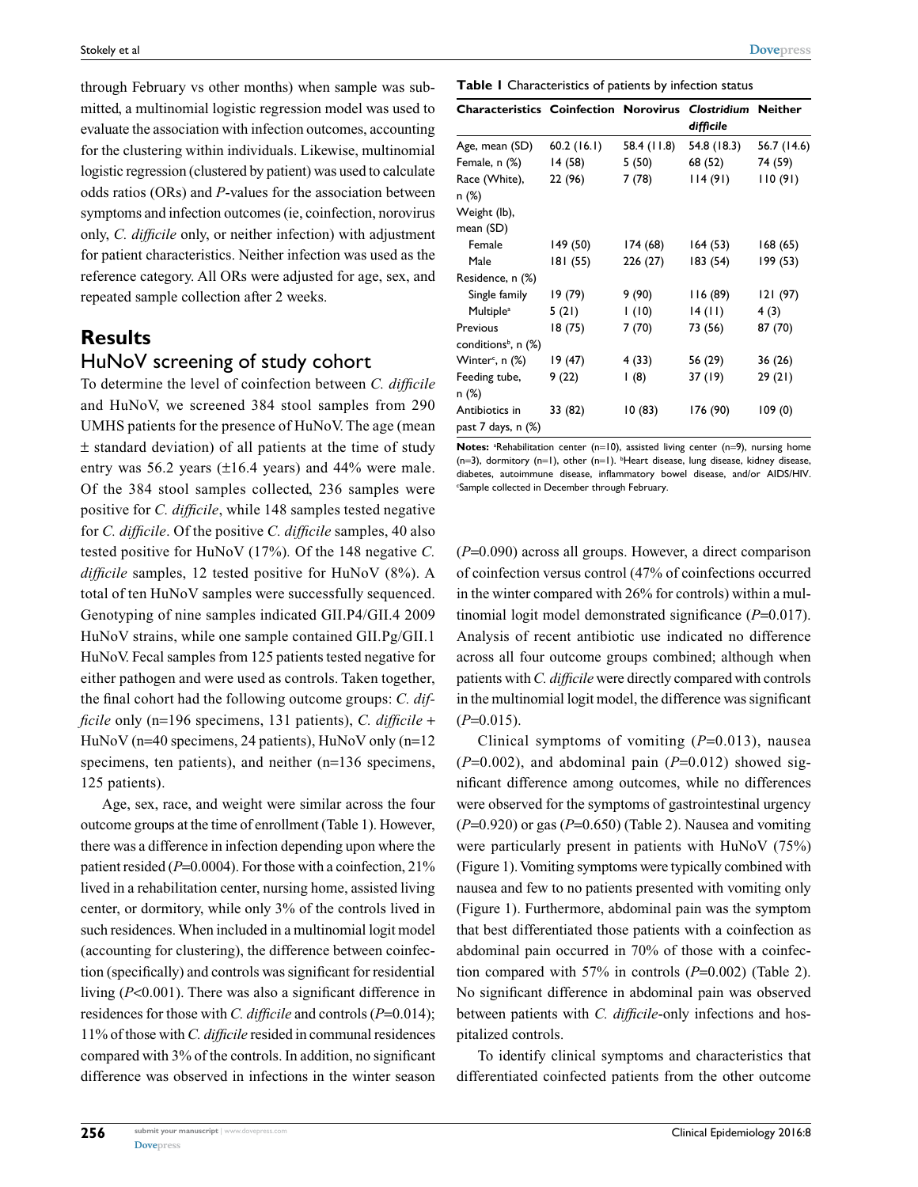through February vs other months) when sample was submitted, a multinomial logistic regression model was used to evaluate the association with infection outcomes, accounting for the clustering within individuals. Likewise, multinomial logistic regression (clustered by patient) was used to calculate odds ratios (ORs) and *P*-values for the association between symptoms and infection outcomes (ie, coinfection, norovirus only, *C. difficile* only, or neither infection) with adjustment for patient characteristics. Neither infection was used as the reference category. All ORs were adjusted for age, sex, and repeated sample collection after 2 weeks.

## **Results**

#### HuNoV screening of study cohort

To determine the level of coinfection between *C. difficile*  and HuNoV, we screened 384 stool samples from 290 UMHS patients for the presence of HuNoV. The age (mean ± standard deviation) of all patients at the time of study entry was 56.2 years (±16.4 years) and 44% were male. Of the 384 stool samples collected, 236 samples were positive for *C. difficile*, while 148 samples tested negative for *C. difficile*. Of the positive *C. difficile* samples, 40 also tested positive for HuNoV (17%)*.* Of the 148 negative *C. difficile* samples, 12 tested positive for HuNoV (8%). A total of ten HuNoV samples were successfully sequenced. Genotyping of nine samples indicated GII.P4/GII.4 2009 HuNoV strains, while one sample contained GII.Pg/GII.1 HuNoV. Fecal samples from 125 patients tested negative for either pathogen and were used as controls. Taken together, the final cohort had the following outcome groups: *C. difficile* only (n=196 specimens, 131 patients), *C. difficile* + HuNoV (n=40 specimens, 24 patients), HuNoV only (n=12 specimens, ten patients), and neither (n=136 specimens, 125 patients).

Age, sex, race, and weight were similar across the four outcome groups at the time of enrollment (Table 1). However, there was a difference in infection depending upon where the patient resided ( $P=0.0004$ ). For those with a coinfection, 21% lived in a rehabilitation center, nursing home, assisted living center, or dormitory, while only 3% of the controls lived in such residences. When included in a multinomial logit model (accounting for clustering), the difference between coinfection (specifically) and controls was significant for residential living (*P*<0.001). There was also a significant difference in residences for those with *C. difficile* and controls (*P*=0.014); 11% of those with *C. difficile* resided in communal residences compared with 3% of the controls. In addition, no significant difference was observed in infections in the winter season

| <b>Characteristics Coinfection Norovirus</b> |            |             | <b>Clostridium Neither</b><br>difficile | 56.7 (14.6) |  |
|----------------------------------------------|------------|-------------|-----------------------------------------|-------------|--|
| Age, mean (SD)                               | 60.2(16.1) | 58.4 (11.8) | 54.8 (18.3)                             |             |  |
| Female, n (%)                                | 14 (58)    | 5(50)       | 68 (52)                                 | 74 (59)     |  |
| Race (White),<br>n (%)                       | 22 (96)    | 7 (78)      | 114(91)                                 | 110(91)     |  |
| Weight (lb),<br>mean (SD)                    |            |             |                                         |             |  |
| Female                                       | 149 (50)   | 174 (68)    | 164(53)                                 | 168 (65)    |  |
| Male                                         | 181 (55)   | 226 (27)    | 183 (54)                                | 199 (53)    |  |
| Residence, n (%)                             |            |             |                                         |             |  |
| Single family                                | 19 (79)    | 9 (90)      | II6 (89)                                | 121 (97)    |  |
| Multiple <sup>a</sup>                        | 5(21)      | (10)        | 14(11)                                  | 4(3)        |  |
| Previous                                     | 18 (75)    | 7 (70)      | 73 (56)                                 | 87 (70)     |  |
| conditions <sup>b</sup> , n $(\%)$           |            |             |                                         |             |  |
| Winter <sup>c</sup> , n (%)                  | 19 (47)    | 4 (33)      | 56 (29)                                 | 36 (26)     |  |
| Feeding tube,<br>n (%)                       | 9 (22)     | (8)         | 37 (19)                                 | 29 (21)     |  |
| Antibiotics in<br>past 7 days, n (%)         | 33 (82)    | 10(83)      | 176 (90)                                | 109(0)      |  |

Notes: <sup>a</sup>Rehabilitation center (n=10), assisted living center (n=9), nursing home (n=3), dormitory (n=1), other (n=1). <sup>b</sup>Heart disease, lung disease, kidney disease, diabetes, autoimmune disease, inflammatory bowel disease, and/or AIDS/HIV. c Sample collected in December through February.

(*P*=0.090) across all groups. However, a direct comparison of coinfection versus control (47% of coinfections occurred in the winter compared with 26% for controls) within a multinomial logit model demonstrated significance (*P*=0.017). Analysis of recent antibiotic use indicated no difference across all four outcome groups combined; although when patients with *C. difficile* were directly compared with controls in the multinomial logit model, the difference was significant  $(P=0.015)$ .

Clinical symptoms of vomiting (*P*=0.013), nausea  $(P=0.002)$ , and abdominal pain  $(P=0.012)$  showed significant difference among outcomes, while no differences were observed for the symptoms of gastrointestinal urgency (*P*=0.920) or gas (*P*=0.650) (Table 2). Nausea and vomiting were particularly present in patients with HuNoV (75%) (Figure 1). Vomiting symptoms were typically combined with nausea and few to no patients presented with vomiting only (Figure 1). Furthermore, abdominal pain was the symptom that best differentiated those patients with a coinfection as abdominal pain occurred in 70% of those with a coinfection compared with 57% in controls (*P*=0.002) (Table 2). No significant difference in abdominal pain was observed between patients with *C. difficile*-only infections and hospitalized controls.

To identify clinical symptoms and characteristics that differentiated coinfected patients from the other outcome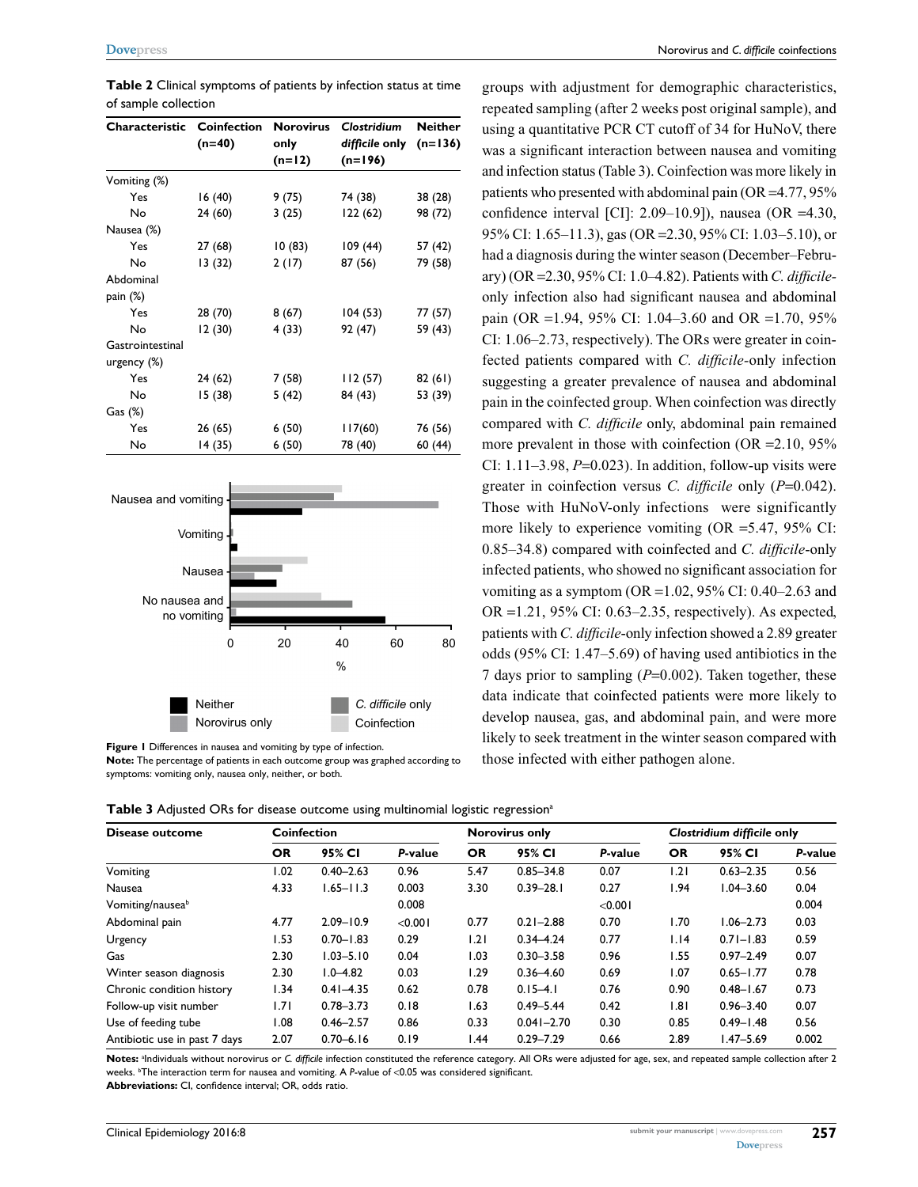| Characteristic   | <b>Coinfection</b><br>$(n=40)$ | <b>Norovirus</b><br>only<br>$(n=12)$ | Clostridium<br>difficile only<br>$(n=196)$ | <b>Neither</b><br>$(n=136)$ |  |
|------------------|--------------------------------|--------------------------------------|--------------------------------------------|-----------------------------|--|
| Vomiting (%)     |                                |                                      |                                            |                             |  |
| Yes              | 16(40)                         | 9 (75)                               | 74 (38)                                    | 38 (28)                     |  |
| No               | 24 (60)                        | 3(25)                                | 122 (62)                                   | 98 (72)                     |  |
| Nausea (%)       |                                |                                      |                                            |                             |  |
| Yes              | 27 (68)                        | 10(83)                               | 109 (44)                                   | 57 (42)                     |  |
| No               | 13 (32)                        | 2(17)                                | 87 (56)                                    | 79 (58)                     |  |
| Abdominal        |                                |                                      |                                            |                             |  |
| pain $(\%)$      |                                |                                      |                                            |                             |  |
| Yes              | 28 (70)                        | 8(67)                                | 104(53)                                    | 77 (57)                     |  |
| No               | 12 (30)                        | 4 (33)                               | 92 (47)                                    | 59 (43)                     |  |
| Gastrointestinal |                                |                                      |                                            |                             |  |
| urgency (%)      |                                |                                      |                                            |                             |  |
| Yes              | 24 (62)                        | 7 (58)                               | 112 (57)                                   | 82(61)                      |  |
| No               | 15 (38)                        | 5 (42)                               | 84 (43)                                    | 53 (39)                     |  |
| $Gas (\%)$       |                                |                                      |                                            |                             |  |
| Yes              | 26 (65)                        | 6(50)                                | 17(60)                                     | 76 (56)                     |  |
| No               | 14 (35)                        | 6 (50)                               | 78 (40)                                    | 60 (44)                     |  |





**Figure 1** Differences in nausea and vomiting by type of infection. **Note:** The percentage of patients in each outcome group was graphed according to symptoms: vomiting only, nausea only, neither, or both.

groups with adjustment for demographic characteristics, repeated sampling (after 2 weeks post original sample), and using a quantitative PCR CT cutoff of 34 for HuNoV, there was a significant interaction between nausea and vomiting and infection status (Table 3). Coinfection was more likely in patients who presented with abdominal pain (OR =4.77, 95% confidence interval [CI]: 2.09–10.9]), nausea (OR =4.30, 95% CI: 1.65–11.3), gas (OR =2.30, 95% CI: 1.03–5.10), or had a diagnosis during the winter season (December–February) (OR =2.30, 95% CI: 1.0–4.82). Patients with *C. difficile*only infection also had significant nausea and abdominal pain (OR =1.94, 95% CI: 1.04–3.60 and OR =1.70, 95% CI: 1.06–2.73, respectively). The ORs were greater in coinfected patients compared with *C. difficile-*only infection suggesting a greater prevalence of nausea and abdominal pain in the coinfected group. When coinfection was directly compared with *C. difficile* only, abdominal pain remained more prevalent in those with coinfection (OR = 2.10, 95%) CI:  $1.11-3.98$ ,  $P=0.023$ ). In addition, follow-up visits were greater in coinfection versus *C. difficile* only (*P*=0.042). Those with HuNoV-only infections were significantly more likely to experience vomiting (OR =5.47, 95% CI: 0.85–34.8) compared with coinfected and *C. difficile*-only infected patients, who showed no significant association for vomiting as a symptom (OR = 1.02, 95% CI: 0.40–2.63 and OR =1.21, 95% CI: 0.63–2.35, respectively). As expected, patients with *C. difficile*-only infection showed a 2.89 greater odds (95% CI: 1.47–5.69) of having used antibiotics in the 7 days prior to sampling (*P*=0.002). Taken together, these data indicate that coinfected patients were more likely to develop nausea, gas, and abdominal pain, and were more likely to seek treatment in the winter season compared with those infected with either pathogen alone.

**Table 3** Adjusted ORs for disease outcome using multinomial logistic regression<sup>a</sup>

| Disease outcome               | <b>Coinfection</b> |               |         | <b>Norovirus only</b> |                |         | Clostridium difficile only |               |         |
|-------------------------------|--------------------|---------------|---------|-----------------------|----------------|---------|----------------------------|---------------|---------|
|                               | OR                 | 95% CI        | P-value | <b>OR</b>             | 95% CI         | P-value | <b>OR</b>                  | 95% CI        | P-value |
| Vomiting                      | 1.02               | $0.40 - 2.63$ | 0.96    | 5.47                  | $0.85 - 34.8$  | 0.07    | 1.21                       | $0.63 - 2.35$ | 0.56    |
| Nausea                        | 4.33               | $1.65 - 11.3$ | 0.003   | 3.30                  | $0.39 - 28.1$  | 0.27    | 1.94                       | $1.04 - 3.60$ | 0.04    |
| Vomiting/nauseab              |                    |               | 0.008   |                       |                | < 0.001 |                            |               | 0.004   |
| Abdominal pain                | 4.77               | $2.09 - 10.9$ | < 0.001 | 0.77                  | $0.21 - 2.88$  | 0.70    | 1.70                       | $1.06 - 2.73$ | 0.03    |
| Urgency                       | 1.53               | $0.70 - 1.83$ | 0.29    | 1.21                  | $0.34 - 4.24$  | 0.77    | 1.14                       | $0.71 - 1.83$ | 0.59    |
| Gas                           | 2.30               | $1.03 - 5.10$ | 0.04    | 1.03                  | $0.30 - 3.58$  | 0.96    | 1.55                       | $0.97 - 2.49$ | 0.07    |
| Winter season diagnosis       | 2.30               | $1.0 - 4.82$  | 0.03    | 1.29                  | $0.36 - 4.60$  | 0.69    | 1.07                       | $0.65 - 1.77$ | 0.78    |
| Chronic condition history     | 1.34               | $0.41 - 4.35$ | 0.62    | 0.78                  | $0.15 - 4.1$   | 0.76    | 0.90                       | $0.48 - 1.67$ | 0.73    |
| Follow-up visit number        | 1.71               | $0.78 - 3.73$ | 0.18    | 1.63                  | $0.49 - 5.44$  | 0.42    | .8                         | $0.96 - 3.40$ | 0.07    |
| Use of feeding tube           | 0.1                | $0.46 - 2.57$ | 0.86    | 0.33                  | $0.041 - 2.70$ | 0.30    | 0.85                       | $0.49 - 1.48$ | 0.56    |
| Antibiotic use in past 7 days | 2.07               | $0.70 - 6.16$ | 0.19    | 44. ا                 | $0.29 - 7.29$  | 0.66    | 2.89                       | $1.47 - 5.69$ | 0.002   |

Notes: <sup>a</sup>lndividuals without norovirus or *C. difficile* infection constituted the reference category. All ORs were adjusted for age, sex, and repeated sample collection after 2 weeks. b The interaction term for nausea and vomiting. A *P*-value of <0.05 was considered significant.

**Abbreviations:** CI, confidence interval; OR, odds ratio.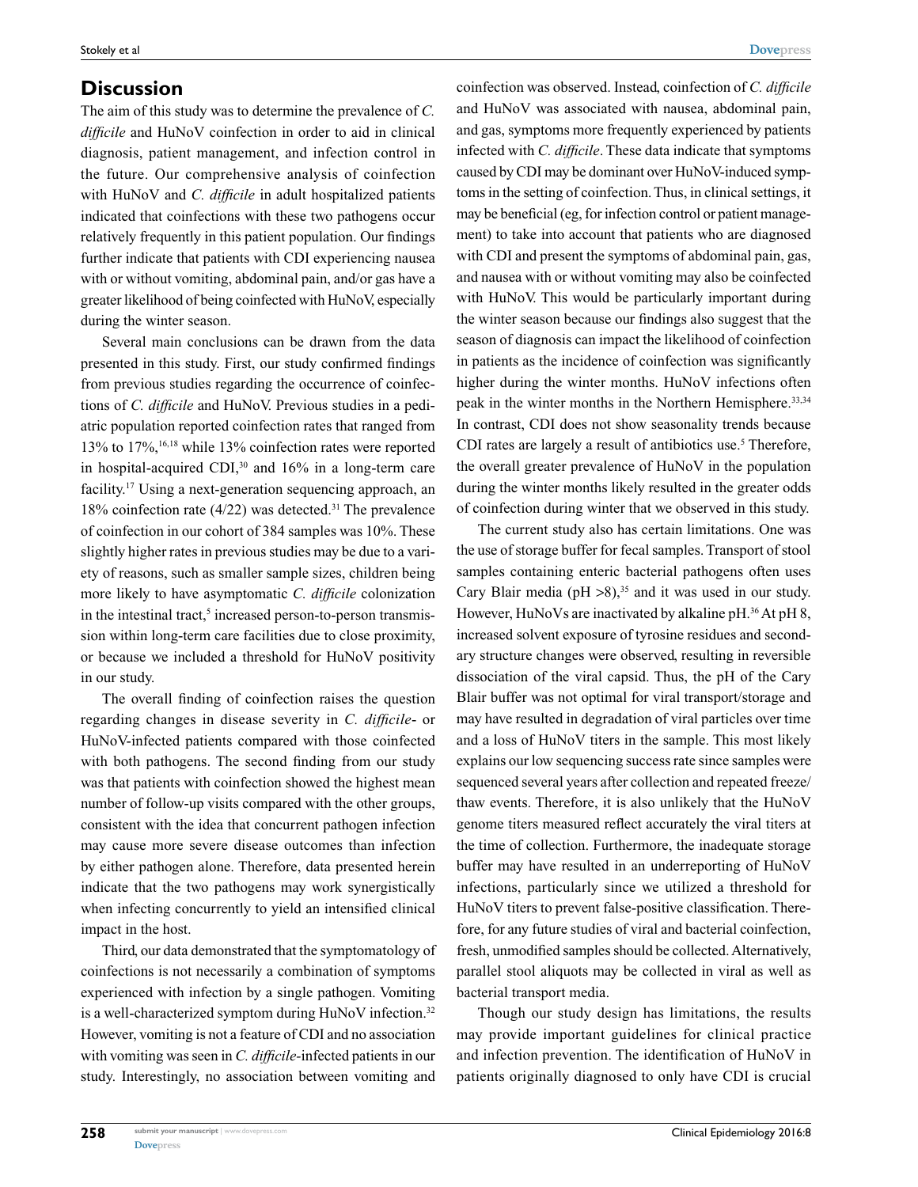#### **Discussion**

The aim of this study was to determine the prevalence of *C. difficile* and HuNoV coinfection in order to aid in clinical diagnosis, patient management, and infection control in the future. Our comprehensive analysis of coinfection with HuNoV and *C. difficile* in adult hospitalized patients indicated that coinfections with these two pathogens occur relatively frequently in this patient population. Our findings further indicate that patients with CDI experiencing nausea with or without vomiting, abdominal pain, and/or gas have a greater likelihood of being coinfected with HuNoV, especially during the winter season.

Several main conclusions can be drawn from the data presented in this study. First, our study confirmed findings from previous studies regarding the occurrence of coinfections of *C. difficile* and HuNoV. Previous studies in a pediatric population reported coinfection rates that ranged from 13% to 17%,16,18 while 13% coinfection rates were reported in hospital-acquired CDI,<sup>30</sup> and 16% in a long-term care facility.17 Using a next-generation sequencing approach, an 18% coinfection rate  $(4/22)$  was detected.<sup>31</sup> The prevalence of coinfection in our cohort of 384 samples was 10%. These slightly higher rates in previous studies may be due to a variety of reasons, such as smaller sample sizes, children being more likely to have asymptomatic *C. difficile* colonization in the intestinal tract,<sup>5</sup> increased person-to-person transmission within long-term care facilities due to close proximity, or because we included a threshold for HuNoV positivity in our study.

The overall finding of coinfection raises the question regarding changes in disease severity in *C. difficile*- or HuNoV-infected patients compared with those coinfected with both pathogens. The second finding from our study was that patients with coinfection showed the highest mean number of follow-up visits compared with the other groups, consistent with the idea that concurrent pathogen infection may cause more severe disease outcomes than infection by either pathogen alone. Therefore, data presented herein indicate that the two pathogens may work synergistically when infecting concurrently to yield an intensified clinical impact in the host.

Third, our data demonstrated that the symptomatology of coinfections is not necessarily a combination of symptoms experienced with infection by a single pathogen. Vomiting is a well-characterized symptom during HuNoV infection.<sup>32</sup> However, vomiting is not a feature of CDI and no association with vomiting was seen in *C. difficile-*infected patients in our study. Interestingly, no association between vomiting and coinfection was observed. Instead, coinfection of *C. difficile* and HuNoV was associated with nausea, abdominal pain, and gas, symptoms more frequently experienced by patients infected with *C. difficile*. These data indicate that symptoms caused by CDI may be dominant over HuNoV-induced symptoms in the setting of coinfection. Thus, in clinical settings, it may be beneficial (eg, for infection control or patient management) to take into account that patients who are diagnosed with CDI and present the symptoms of abdominal pain, gas, and nausea with or without vomiting may also be coinfected with HuNoV. This would be particularly important during the winter season because our findings also suggest that the season of diagnosis can impact the likelihood of coinfection in patients as the incidence of coinfection was significantly higher during the winter months. HuNoV infections often peak in the winter months in the Northern Hemisphere.<sup>33,34</sup> In contrast, CDI does not show seasonality trends because CDI rates are largely a result of antibiotics use.<sup>5</sup> Therefore, the overall greater prevalence of HuNoV in the population during the winter months likely resulted in the greater odds of coinfection during winter that we observed in this study.

The current study also has certain limitations. One was the use of storage buffer for fecal samples. Transport of stool samples containing enteric bacterial pathogens often uses Cary Blair media (pH  $>8$ ),<sup>35</sup> and it was used in our study. However, HuNoVs are inactivated by alkaline pH.<sup>36</sup> At pH 8, increased solvent exposure of tyrosine residues and secondary structure changes were observed, resulting in reversible dissociation of the viral capsid. Thus, the pH of the Cary Blair buffer was not optimal for viral transport/storage and may have resulted in degradation of viral particles over time and a loss of HuNoV titers in the sample. This most likely explains our low sequencing success rate since samples were sequenced several years after collection and repeated freeze/ thaw events. Therefore, it is also unlikely that the HuNoV genome titers measured reflect accurately the viral titers at the time of collection. Furthermore, the inadequate storage buffer may have resulted in an underreporting of HuNoV infections, particularly since we utilized a threshold for HuNoV titers to prevent false-positive classification. Therefore, for any future studies of viral and bacterial coinfection, fresh, unmodified samples should be collected. Alternatively, parallel stool aliquots may be collected in viral as well as bacterial transport media.

Though our study design has limitations, the results may provide important guidelines for clinical practice and infection prevention. The identification of HuNoV in patients originally diagnosed to only have CDI is crucial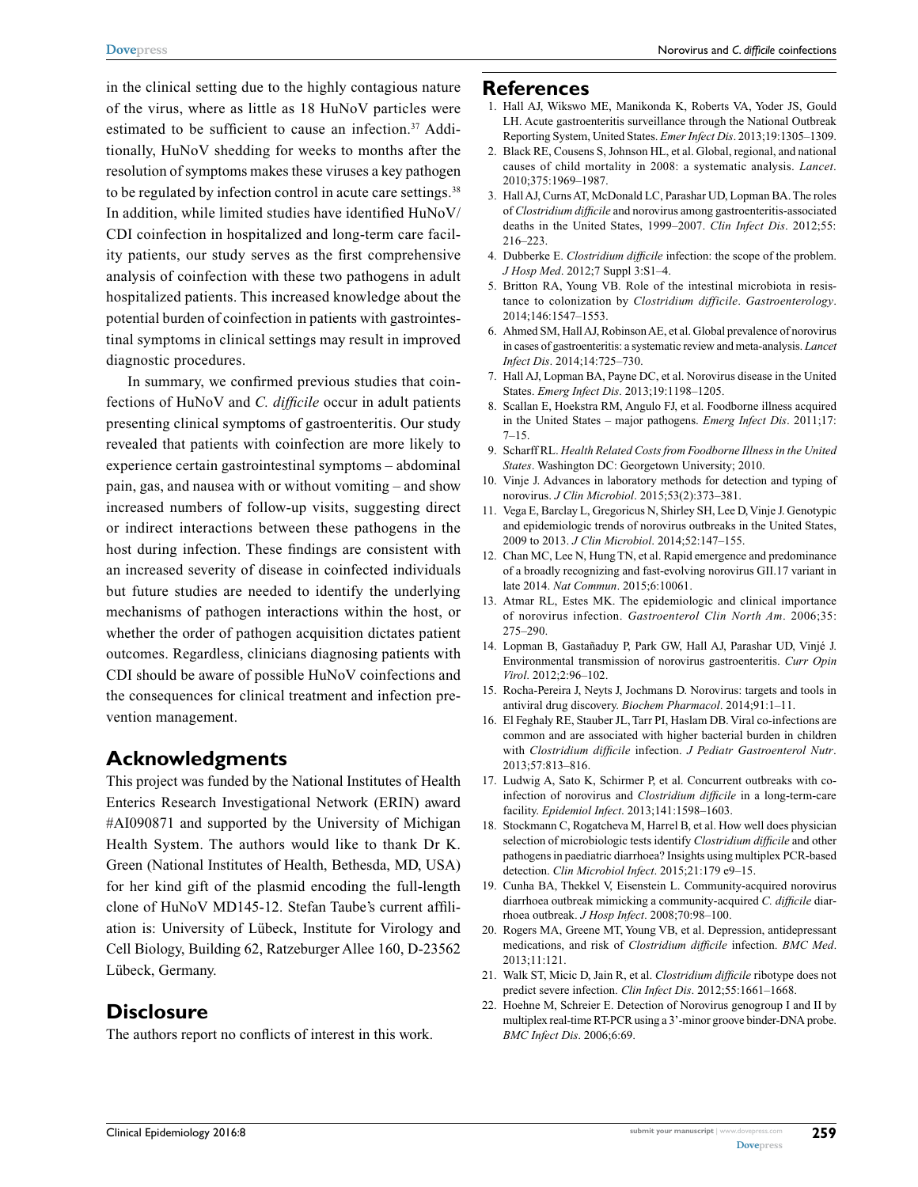Norovirus and *C. difficile* coinfections

in the clinical setting due to the highly contagious nature of the virus, where as little as 18 HuNoV particles were estimated to be sufficient to cause an infection.<sup>37</sup> Additionally, HuNoV shedding for weeks to months after the resolution of symptoms makes these viruses a key pathogen to be regulated by infection control in acute care settings.<sup>38</sup> In addition, while limited studies have identified HuNoV/ CDI coinfection in hospitalized and long-term care facility patients, our study serves as the first comprehensive analysis of coinfection with these two pathogens in adult hospitalized patients. This increased knowledge about the potential burden of coinfection in patients with gastrointestinal symptoms in clinical settings may result in improved diagnostic procedures.

In summary, we confirmed previous studies that coinfections of HuNoV and *C. difficile* occur in adult patients presenting clinical symptoms of gastroenteritis. Our study revealed that patients with coinfection are more likely to experience certain gastrointestinal symptoms – abdominal pain, gas, and nausea with or without vomiting – and show increased numbers of follow-up visits, suggesting direct or indirect interactions between these pathogens in the host during infection. These findings are consistent with an increased severity of disease in coinfected individuals but future studies are needed to identify the underlying mechanisms of pathogen interactions within the host, or whether the order of pathogen acquisition dictates patient outcomes. Regardless, clinicians diagnosing patients with CDI should be aware of possible HuNoV coinfections and the consequences for clinical treatment and infection prevention management.

#### **Acknowledgments**

This project was funded by the National Institutes of Health Enterics Research Investigational Network (ERIN) award #AI090871 and supported by the University of Michigan Health System. The authors would like to thank Dr K. Green (National Institutes of Health, Bethesda, MD, USA) for her kind gift of the plasmid encoding the full-length clone of HuNoV MD145-12. Stefan Taube's current affiliation is: University of Lübeck, Institute for Virology and Cell Biology, Building 62, Ratzeburger Allee 160, D-23562 Lübeck, Germany.

#### **Disclosure**

The authors report no conflicts of interest in this work.

#### **References**

- 1. Hall AJ, Wikswo ME, Manikonda K, Roberts VA, Yoder JS, Gould LH. Acute gastroenteritis surveillance through the National Outbreak Reporting System, United States. *Emer Infect Dis*. 2013;19:1305–1309.
- 2. Black RE, Cousens S, Johnson HL, et al. Global, regional, and national causes of child mortality in 2008: a systematic analysis. *Lancet*. 2010;375:1969–1987.
- 3. Hall AJ, Curns AT, McDonald LC, Parashar UD, Lopman BA. The roles of *Clostridium difficile* and norovirus among gastroenteritis-associated deaths in the United States, 1999–2007. *Clin Infect Dis*. 2012;55: 216–223.
- 4. Dubberke E. *Clostridium difficile* infection: the scope of the problem. *J Hosp Med*. 2012;7 Suppl 3:S1–4.
- 5. Britton RA, Young VB. Role of the intestinal microbiota in resistance to colonization by *Clostridium difficile*. *Gastroenterology*. 2014;146:1547–1553.
- 6. Ahmed SM, Hall AJ, Robinson AE, et al. Global prevalence of norovirus in cases of gastroenteritis: a systematic review and meta-analysis. *Lancet Infect Dis*. 2014;14:725–730.
- 7. Hall AJ, Lopman BA, Payne DC, et al. Norovirus disease in the United States. *Emerg Infect Dis*. 2013;19:1198–1205.
- 8. Scallan E, Hoekstra RM, Angulo FJ, et al. Foodborne illness acquired in the United States – major pathogens. *Emerg Infect Dis*. 2011;17:  $7-15.$
- 9. Scharff RL. *Health Related Costs from Foodborne Illness in the United States*. Washington DC: Georgetown University; 2010.
- 10. Vinje J. Advances in laboratory methods for detection and typing of norovirus. *J Clin Microbiol*. 2015;53(2):373–381.
- 11. Vega E, Barclay L, Gregoricus N, Shirley SH, Lee D, Vinje J. Genotypic and epidemiologic trends of norovirus outbreaks in the United States, 2009 to 2013. *J Clin Microbiol*. 2014;52:147–155.
- 12. Chan MC, Lee N, Hung TN, et al. Rapid emergence and predominance of a broadly recognizing and fast-evolving norovirus GII.17 variant in late 2014. *Nat Commun*. 2015;6:10061.
- 13. Atmar RL, Estes MK. The epidemiologic and clinical importance of norovirus infection. *Gastroenterol Clin North Am*. 2006;35: 275–290.
- 14. Lopman B, Gastañaduy P, Park GW, Hall AJ, Parashar UD, Vinjé J. Environmental transmission of norovirus gastroenteritis. *Curr Opin Virol*. 2012;2:96–102.
- 15. Rocha-Pereira J, Neyts J, Jochmans D. Norovirus: targets and tools in antiviral drug discovery. *Biochem Pharmacol*. 2014;91:1–11.
- 16. El Feghaly RE, Stauber JL, Tarr PI, Haslam DB. Viral co-infections are common and are associated with higher bacterial burden in children with *Clostridium difficile* infection. *J Pediatr Gastroenterol Nutr*. 2013;57:813–816.
- 17. Ludwig A, Sato K, Schirmer P, et al. Concurrent outbreaks with coinfection of norovirus and *Clostridium difficile* in a long-term-care facility. *Epidemiol Infect*. 2013;141:1598–1603.
- 18. Stockmann C, Rogatcheva M, Harrel B, et al. How well does physician selection of microbiologic tests identify *Clostridium difficile* and other pathogens in paediatric diarrhoea? Insights using multiplex PCR-based detection. *Clin Microbiol Infect*. 2015;21:179 e9–15.
- 19. Cunha BA, Thekkel V, Eisenstein L. Community-acquired norovirus diarrhoea outbreak mimicking a community-acquired *C. difficile* diarrhoea outbreak. *J Hosp Infect*. 2008;70:98–100.
- 20. Rogers MA, Greene MT, Young VB, et al. Depression, antidepressant medications, and risk of *Clostridium difficile* infection. *BMC Med*. 2013;11:121.
- 21. Walk ST, Micic D, Jain R, et al. *Clostridium difficile* ribotype does not predict severe infection. *Clin Infect Dis*. 2012;55:1661–1668.
- 22. Hoehne M, Schreier E. Detection of Norovirus genogroup I and II by multiplex real-time RT-PCR using a 3'-minor groove binder-DNA probe. *BMC Infect Dis*. 2006;6:69.